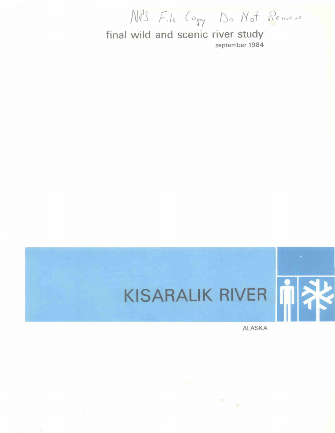NPS File Copy Do Not Remove

final wild and scenic river study september 1984

## KISARALIK RIVER

ALASKA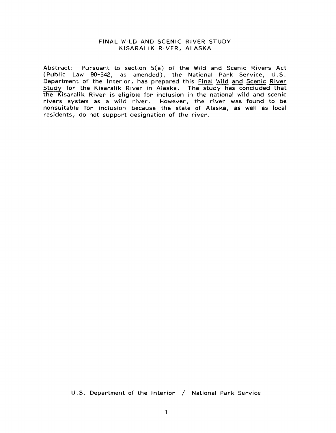#### FINAL WILD AND SCENIC RIVER STUDY KISARALIK RIVER, ALASKA

Abstract: Pursuant to section 5(a) of the Wild and Scenic Rivers Act (Public Law 90-542, as amended), the National Park Service, U.S. Department of the Interior, has prepared this Final Wild and Scenic River Study for the Kisaralik River in Alaska. The study has concluded that the Kisaralik River is eligible for inclusion in the national wild and scenic rivers system as a wild river. However, the river was found to be nonsuitable for inclusion because the state of Alaska, as well as local residents, do not support designation of the river.

U.S. Department of the Interior / National Park Service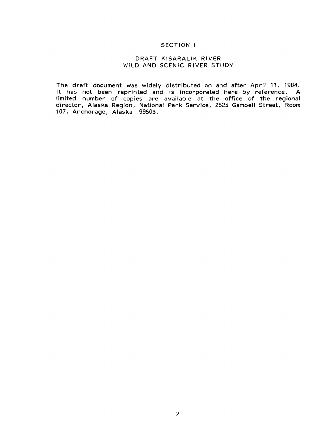#### SECTION I

#### DRAFT KISARALIK RIVER WILD AND SCENIC RIVER STUDY

The draft document was widely distributed on and after April 11, 1984. It has not been reprinted and is incorporated here by reference. A limited number of copies are available at the office of the regional director, Alaska Region, National Park Service, 2525 Gambell Street, Room 107, Anchorage, Alaska 99503.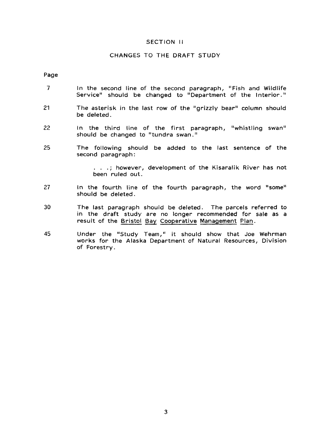#### SECTION II

#### CHANGES TO THE DRAFT STUDY

Page

- 7 In the second line of the second paragraph, "Fish and Wildlife Service" should be changed to "Department of the Interior."
- 21 The asterisk in the last row of the "grizzly bear" column should be deleted.
- 22 In the third line of the first paragraph, "whistling swan" should be changed to "tundra swan."
- 25 The following should be added to the last sentence of the second paragraph:

. . .; however, development of the Kisaralik River has not been ruled out.

- 27 In the fourth line of the fourth paragraph, the word "some" should be deleted.
- 30 The last paragraph should be deleted. The parcels referred to in the draft study are no longer recommended for sale as a result of the Bristol Bay Cooperative Management Plan.
- 45 Under the "Study Team," it should show that Joe Wehrman works for the Alaska Department of Natural Resources, Division of Forestry.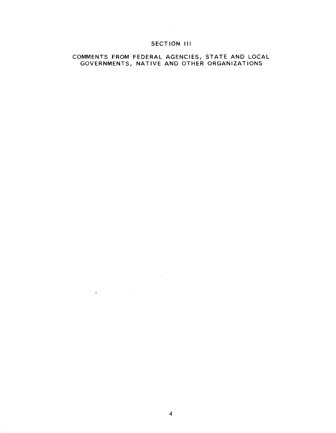#### SECTION III

 $\label{eq:2.1} \mathcal{L}(\mathcal{L}^{\text{max}}_{\mathcal{L}}(\mathcal{L}^{\text{max}}_{\mathcal{L}}),\mathcal{L}^{\text{max}}_{\mathcal{L}}(\mathcal{L}^{\text{max}}_{\mathcal{L}}))$ 

#### COMMENTS FROM FEDERAL AGENCIES, STATE AND LOCAL GOVERNMENTS, NATIVE AND OTHER ORGANIZATIONS

 $\label{eq:2.1} \frac{1}{\sqrt{2}}\int_{\mathbb{R}^3}\frac{1}{\sqrt{2}}\left(\frac{1}{\sqrt{2}}\right)^2\left(\frac{1}{\sqrt{2}}\right)^2\left(\frac{1}{\sqrt{2}}\right)^2\left(\frac{1}{\sqrt{2}}\right)^2\left(\frac{1}{\sqrt{2}}\right)^2.$ 

 $\label{eq:2.1} \mathbf{y} = \mathbf{y} + \mathbf{y} + \mathbf{y} + \mathbf{y} + \mathbf{y} + \mathbf{y} + \mathbf{y} + \mathbf{y} + \mathbf{y} + \mathbf{y} + \mathbf{y} + \mathbf{y} + \mathbf{y} + \mathbf{y} + \mathbf{y} + \mathbf{y} + \mathbf{y} + \mathbf{y} + \mathbf{y} + \mathbf{y} + \mathbf{y} + \mathbf{y} + \mathbf{y} + \mathbf{y} + \mathbf{y} + \mathbf{y} + \mathbf{y} + \mathbf{y} + \mathbf{y} + \$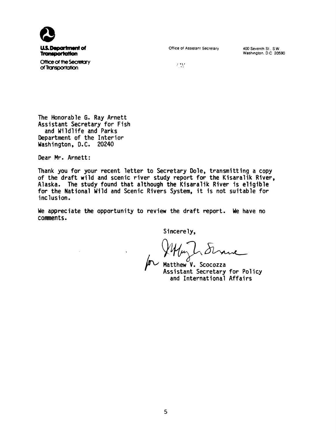

Office of the Secretary of Transportation

Office of Assistant Secretary

400 Seventh St.. S.W. Washington. D.C 20590

 $^{\prime}$  .  $^{\prime}$ 

The Honorable G. Ray Arnett Assistant Secretary for Fish and Wildlife and Parks Department of the Interior Washington, D.C. 20240

Dear Mr. Arnett:

Thank you for your recent letter to Secretary Dole, transmitting a copy of the draft wild and scenic river study report for the Kisaralik River. Alaska. The study found that although the Kisaralik River is eligible for the National Wild and Scenic Rivers System, it is not suitable for inclusion.

We appreciate the opportunity to review the draft report. We have no conments.

Sincerely,<br>WHM L Strawe

Assistant Secretary for Policy and International Affairs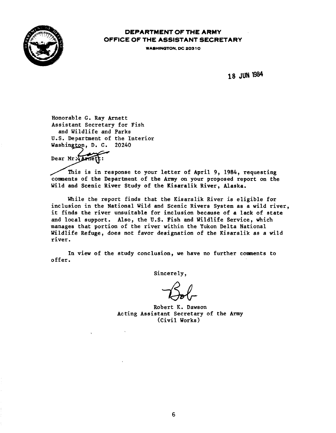

#### DEPARTMENT OF THE ARMY OFFICE OF THE ASSISTANT SECRETARY

WASHINGTON, DC 20310

18 JUN 1984

Honorable G. Ray Arnett Assistant Secretary for Fish and Wildlife and Parks U.S. Department of the Interior Washington, D. C. 20240

Dear Mr. Arnet

This is in response to your letter of April 9, 1984, requesting comments of the Department of the Army on your proposed report on the Wild and Scenic River Study of the Kisaralik River, Alaska.

While the report finds that the Kisaralik River is eligible for inclusion in the National Wild and Scenic Rivers System as a wild river, it finds the river unsuitable for inclusion because of a lack of state and local support. Also, the U.S. Fish and Wildlife Service, which manages that portion of the river within the Yukon Delta National Wildlife Refuge, does not favor designation of the Kisaralik as a wild river.

In view of the study conclusion, we have no further couments to offer.

Robert K. Dawson Acting Assistant Secretary of the Army (Civil Works)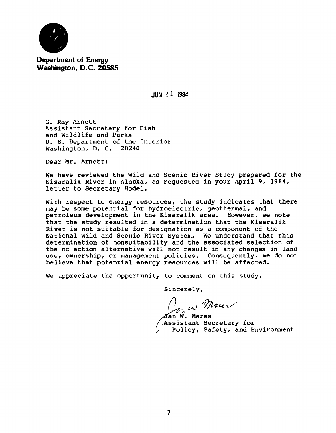

**Department of Energy Washington, D.C. 20585** 

JUN 2 1 1984

G. Ray Arnett Assistant Secretary for Fish and Wildlife and Parks u. s. Department of the Interior Washington, D. c. 20240

Dear Mr. Arnett:

We have reviewed the Wild and Scenic River Study prepared for the Kisaralik River in Alaska, as requested in your April 9, 1984, letter to Secretary Hodel.

With respect to energy resources, the study indicates that there may be some potential for hydroelectric, geothermal, and petroleum development in the Kisaralik area. However, we note that the study resulted in a determination that the Kisaralik River is not suitable for designation as a component of the National Wild and Scenic River System. We understand that this determination of nonsuitability and the associated selection of the no action alternative will not result in any changes in land use, ownership, or management policies. Consequently, we do not believe that potential energy resources will be affected.

We appreciate the opportunity to comment on this study.

 $U_{\sigma}$  is Maur

Jan W. Mares Assistant Secretary for Policy, Safety, and Environment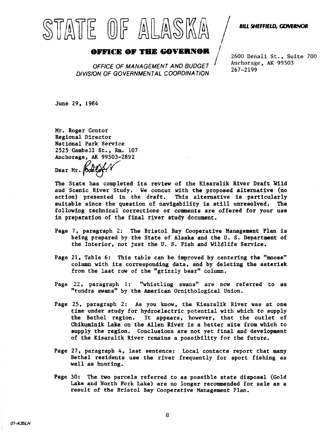# STATE OF ALASKA

#### BILL SHEFFIELD, GOVERNOR

## **OFFICE OF THE GOVERNOR**<br>OFFICE OF MANAGEMENT AND BUDGET

DIVISION OF GOVERNMENTAL COORDINATION

2600 Denali St., Suite 700 Anchorage, AK 99503 267-2199

June 29, 1984

Mr. Roger Contor Regional Director National Park Service 2525 Gambell St., Rm. 107 Anchorage, AK 99503-2892

Dear Mr. **Bonte** 

The State has completed its review of the Kisaralik River Draft Wild and Scenic River Study. We concur with the proposed alternative (no action) presented in the draft. This alternative is particularly suitable since the question of navigability is still unresolved. following technical corrections or comments are offered for your use in preparation of the final river study document.

- Page 7, paragraph 2: The Bristol Bay Cooperative Management Plan is being prepared by the State of Alaska and the U. s. Department of the Interior, not just the U. S. Fish and Wildlife Service.
- Page 21, Table 6: This table can be improved by centering the "moose" column with its corresponding data, and by deleting the asterisk from the last row of the "grizzly bear" column.
- Page 22, paragraph 1: "whistling swans" are now referred to as "tundra swans" by the American Ornithological Union.
- Page 25, paragraph 2: As you know, the Kisaralik River was at one time under study for hydroelectric potential with which to supply the Bethel region. It appears, however, that the outlet of Chikuminik Lake on the Allen River is a better site from which to supply the region. Conclusions are not yet final and development of the Kisaralik River remains a possibility for the future.
- Page 27, paragraph 4, last sentence: Local contacts report that many Bethel residents use the river frequently for sport fishing as well as hunting.
- Page 30: The two parcels referred to as possible state disposal (Gold Lake and North Fork Lake) are no longer recommended for sale as a result of the Bristol Bay Cooperative Management Plan.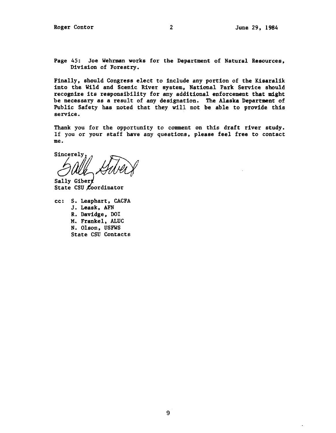Page 45: Joe Wehrman works for the Department of Natural Resources, Division of Forestry.

Finally, should Congress elect to include any portion of the Kisaralik into the Wild and Scenic River system, National Park Service should recognize its responsibility for any additional enforcement that might be necessary as a result of any designation. The Alaska Department of Public Safety has noted that they will not be able to provide this service.

Thank you for the opportunity to comment on this draft river study. If you or your staff have any questions, please feel free to contact me.

sincerely,<br>Sincerely,<br>( all II

Sally Gibert State CSU Coordinator

cc: s. Leaphart, CACFA J. Leask, AFN R. Davidge, DOI M. Frankel, ALUC N. Olson, USFWS State CSU Contacts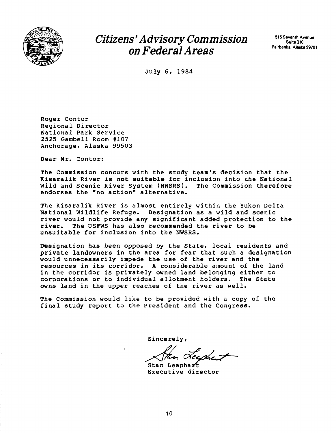

### Citizens' Advisory Commission on Federal Areas

515 Seventh Avenue Suite 310 Fairbanks, Alaska 99701

July 6, 1984

Roger Contor Regional Director National Park Service 2525 Gambell Room #107 Anchorage, Alaska 99503

Dear Mr. Contor:

The Commission concurs with the study team's decision that the Kisaralik River is not suitable for inclusion into the National<br>Wild and Scenic River System (NWSRS). The Commission therefore Wild and Scenic River System (NWSRS). endorses the "no action" alternative.

The Kisaralik River is almost entirely within the Yukon Delta National Wildlife Refuge. Designation as a wild and scenic river would not provide any significant added protection to the river. The USFWS has also recommended the river to be unsuitable for inclusion into the NWSRS.

Designation has been opposed by the State, local residents and private landowners in the area for fear that such a designation would unnecessarily impede the use of the river and the resources in its corridor. A considerable amount of the land in the corridor is privately owned land belonging either to corporations or to individual allotment holders. The State corporations or to individual allotment holders. owns land in the upper reaches of the river as well.

The Commission would like to be provided with a copy of the final study report to the President and the Congress.

Stan Leaphart<br>Executive director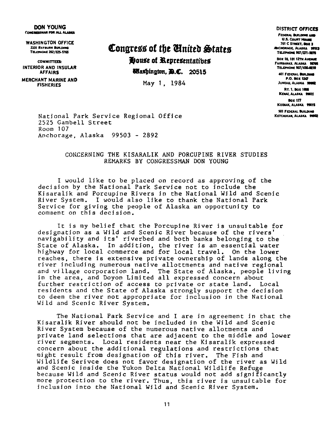#### DON YOUNG CONCRESSIAN FOR ALL ALASKA

WASHINGTON OFFICE **2131 RAYBURN BUILDING** TELEPHONE 202/225-5765

COMMITTED: INTERIOR AND INSULAR AFFAIRS

MERCHANT MARINE AND FISHERIES

### Congress of the United States House of Representatibes

**Edashington,**  $\mathbf{B}$ **.C.** 20515

May 1, 1984

DISTRICT OFFICES

**FEDERAL BUILDING AND** U.S. COURT HOUSE 701 C STREET, BOX 3 **ANCHORAGE ALASKA 99513** TELETHOME 907/271-9878

BOX 10, 101 12TH AVENUE FAIRBANKS, ALASKA 19701 **TELEPHONE 907/456-0210** 

401 FEDERAL BUILDING P.O. BOX 1247 JUNEAU, ALASKA 90002

RT. 1, Box 1006 KDW, ALASKA 99611

Box 177 KODIAK, ALASKA 1961S

SOI FEDERAL BUILDING KETCHIKAN ALASKA 19802

National Park Service Regional Office 2525 Gambell Street Room 107 Anchorage, Alaska 99503 - 2892

#### CONCERNING THE KISARALIK AND PORCUPINE RIVER STUDIES REMARKS BY CONGRESSMAN DON YOUNG

I would like to be placed on record as approving of the decision by the National Park Service not to include the Kisaralik and Porcupine Rivers in the National Wild and Scenic River System. I would also like to thank the National Park Service for giving the people of Alaska an opportunity to comment on this decision.

It is my belief that the Porcupine River is unsuitable for designation as a Wild and Scenic River because of the rivers' navigability and its' riverbed and both banks belonging to the State of Alaska. In addition, the river is an essential water highway for local commerce and for local travel. On the lower reaches, there is extensive private ownership of lands along the river including numerous native allottments and native regional and village corporation land. The State of Alaska, people living in the area, and Doyon Limited all expressed concern about further restriction of access to private or state land. Local residents and the State of Alaska strongly support the decision to deem the river not appropriate for inclusion in the National Wild and Scenic River System.

The National Park Service and I are in agreement in that the Kisaralik River should not be included in the Wild and Scenic River System because of the numerous native allotments and private land selections that are adjacent to the middle and lower river segments. Local residents near the Kisaralik expressed concern about the additional regulations and restrictions that might result from designation of this river. The Fish and Wildlife Serivce does not favor designation of the river as Wild and Scenic inside the Yukon Delta National Wildlife Refuge because Wild and Scenic River status would not add significantly more protection to the river. Thus, this river is unsuitable for inclusion into the National Wild and Scenic River System.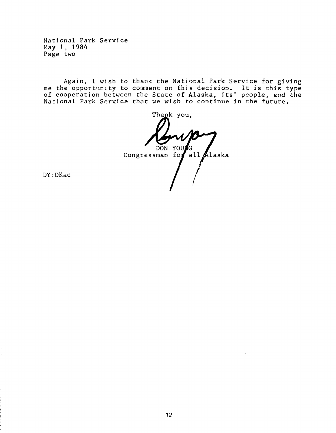National Park Service May 1, 1984 Page two

Again, I wish to thank the National Park Service for giving me the opportunity to comment on this decision. It is this type of cooperation between the State of Alaska, its' people, and the National Park Service that we wish to continue in the future.

Thank you, DON YOU G Congressman for all Alaska

DY:DKac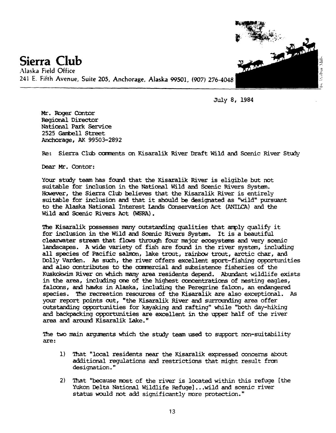

July 8, 1984

Mr. Roger Contor Regional Director National Park Service 2525 Gambell Street Anchorage, AK 99503-2892

Re: Sierra Club comments on Kisaralik River Draft Wild and Scenic River Study

Dear Mr. Contor:

Your study team has found that the Kisaralik River is eligible but not suitable for inclusion in the National Wild and Scenic Rivers System. HCMever, the Sierra Club believes that the Kisaralik River is entirely suitable for inclusion and that it should be designated as "wild" pursuant to the Alaska National Interest Lands Conservation Act (ANIICA) and the Wild and Scenic Rivers Act (WSRA).

The Kisaralik possesses many outstanding qualities that amply qualify it for inclusion in the Wild and Scenic Rivers System. It is a beautiful clearwater stream that flows through four major ecosystems and very scenic landscapes. A wide variety of fish are found in the river system, including all species of Pacific salmon, lake trout, rainbow trout, arctic char, and Dolly Varden. As such, the river offers excellent sport-fishing opportunities and also contributes to the ocmnercial and subsistence fisheries of the Kuskokwim River on which many area residents depend. Abundant wildlife exists in the area, including one of the highest concentrations of nesting eagles, falcons, and hawks in Alaska, including the Peregrine falcon, an endangered species. The recreation resources of the Kisaralik are also exceptional. As your report points out, "the Kisaralik River and surrounding area offer outstanding opportunities for kayaking and rafting" while "both day-hiking and backpacking opportunities are excellent in the upper half of the river area and around Kisaralik Lake."

The two main arguments which the study team used to support non-suitability are:

- 1) 'Ihat "local residents near the Kisaralik expressed concerns about additional regulations and restrictions that might result fran designation."
- 2) That "because most of the river is located within this refuge [the Yukon Delta National Wildlife Refuge]...wild and scenic river status would not add significantly more protection."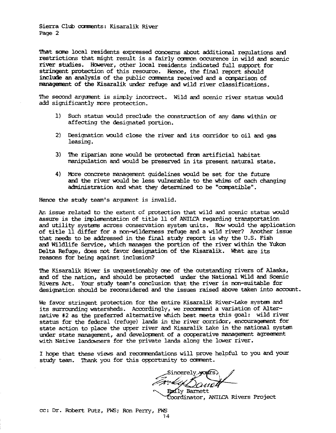Sierra Club comments: Kisaralik River Page 2

'!hat scne local residents expressed concerns about additional regulations and restrictions that might result is a fairly camon occurence in wild and scenic river studies. HONever, other local residents indicated full support for stringent protection of this resource. Hence, the final report should include an analysis of the public comments received and a comparison of managemmt of the Kisaralik under refuge and wild river classifications.

The second argunent is simply incorrect. Wild and scenic river status would add significantly nore protection.

- 1) Such status would preclude the construction of any dams within or affecting the designated portion.
- 2) Designation would close the river and its corridor to oil and gas leasing.
- 3) The riparian zone would be protected from artificial habitat manipulation and would be preserved in its present natural state.
- 4) More concrete management guidelines would be set for the future and the river would be less wlnerable to the whims of each changing administration and what they determined to be "compatible".

Hence the study team's argunent is invalid.

An issue related to the extent of protection that wild and scenic status would assure is the implementation of title 11 of ANIICA regarding transportation and utility systems across conservation system units. How would the application of title 11 differ for a non-wilderness refuge and a wild river? Another issue that needs to be addressed in the final study report is why the U.S. Fish and Wildlife Service, which manages the portion of the river within the Yukon Delta Refuge, does not favor designation of the Kisaralik. What are its reasons for being against inclusion?

The Kisaralik River is unquestionably one of the outstanding rivers of Alaska, and of the nation, and should be protected under the National Wild and Scenic Rivers Act. Your study team's conclusion that the river is non-suitable for designation should be reconsidered and the issues raised above taken into account.

We favor stringent protection for the entire Kisaralik River-Lake system and its surrounding watersheds. Accordingly, we reccmnend a variation of Alternative #2 as the preferred alternative which best meets this goal: wild river status for the federal (refuge) lands in the river corridor, encouragement for state action to place the upper river and Kisaralik Lake in the national systen under state management, and development of a cooperative management agreement with Native landowners for the private lands along the lower river.

I hope that these views and recommendations will prove helpful to you and your study team. Thank you for this opportunity to comment.

Sincerely yours, Endly Barnett

Coordinator, ANILCA Rivers Project

cc : Dr. Robert Putz, FWS; Ron Perry, FWS